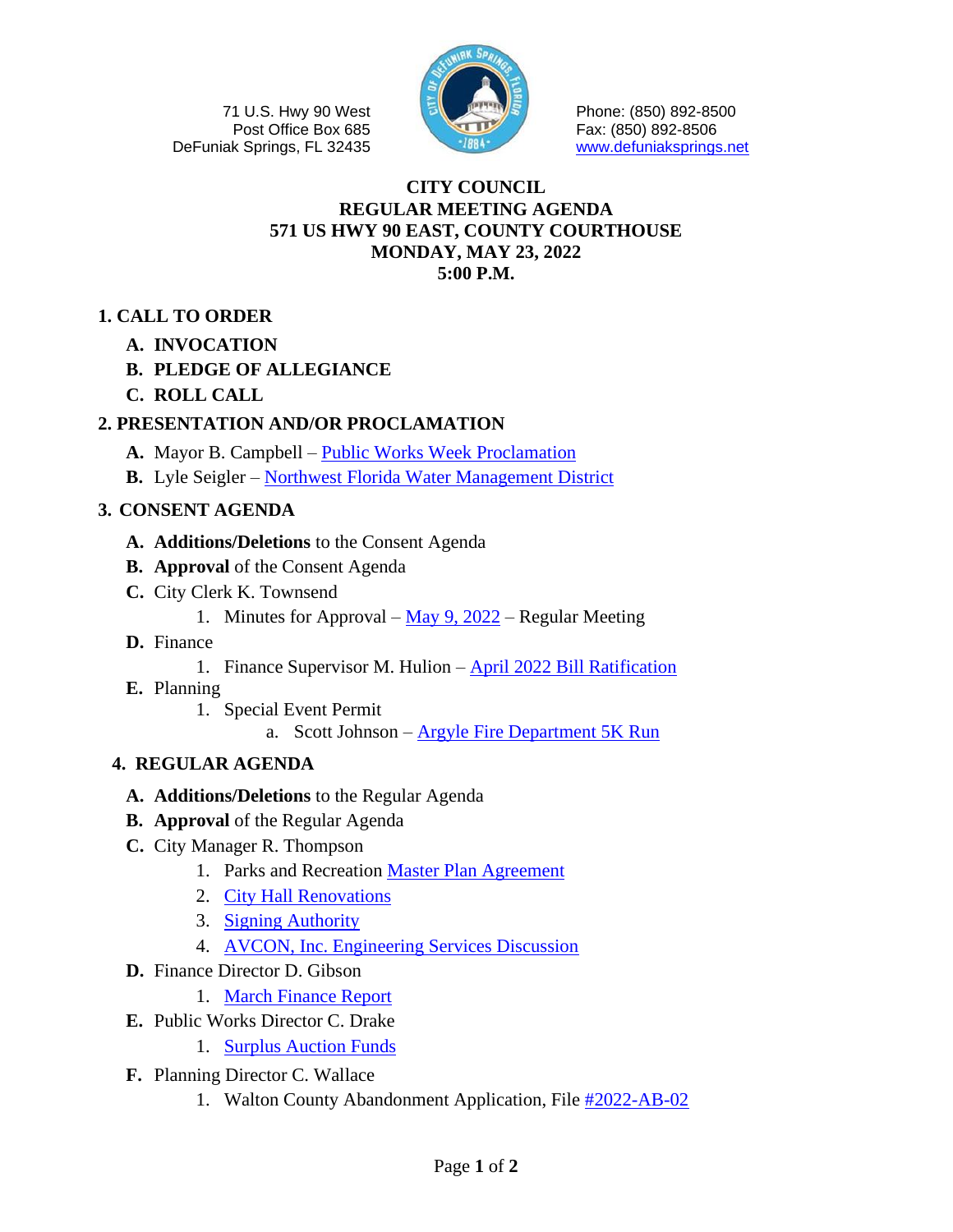71 U.S. Hwy 90 West Post Office Box 685 DeFuniak Springs, FL 32435



Phone: (850) 892-8500 Fax: (850) 892-8506 [www.defuniaksprings.net](http://www.defuniaksprings.net/)

#### **CITY COUNCIL REGULAR MEETING AGENDA 571 US HWY 90 EAST, COUNTY COURTHOUSE MONDAY, MAY 23, 2022 5:00 P.M.**

## **1. CALL TO ORDER**

**A. INVOCATION**

## **B. PLEDGE OF ALLEGIANCE**

**C. ROLL CALL**

## **2. PRESENTATION AND/OR PROCLAMATION**

- **A.** Mayor B. Campbell [Public Works Week Proclamation](https://www.defuniaksprings.net/DocumentCenter/View/17698/2A--Proclamation-for-Public-Works-Week)
- **B.** Lyle Seigler [Northwest Florida Water Management District](https://www.defuniaksprings.net/DocumentCenter/View/17699/2B--NWFWMD)

## **3. CONSENT AGENDA**

- **A. Additions/Deletions** to the Consent Agenda
- **B. Approval** of the Consent Agenda
- **C.** City Clerk K. Townsend
	- 1. Minutes for Approval May 9,  $2022$  Regular Meeting
- **D.** Finance
	- 1. Finance Supervisor M. Hulion [April 2022 Bill Ratification](https://www.defuniaksprings.net/DocumentCenter/View/17701/3D1--April-Bill-Ratification)
- **E.** Planning
	- 1. Special Event Permit
		- a. Scott Johnson [Argyle Fire Department 5K Run](https://www.defuniaksprings.net/DocumentCenter/View/17702/3E1a--SEP-5K)

## **4. REGULAR AGENDA**

- **A. Additions/Deletions** to the Regular Agenda
- **B. Approval** of the Regular Agenda
- **C.** City Manager R. Thompson
	- 1. Parks and Recreation [Master Plan Agreement](https://www.defuniaksprings.net/DocumentCenter/View/17703/4C1--Parks-Master-Plan-Agreement)
	- 2. [City Hall Renovations](https://www.defuniaksprings.net/DocumentCenter/View/17704/4C2--City-Hall-Renovations-5-23-22)
	- 3. [Signing Authority](https://www.defuniaksprings.net/DocumentCenter/View/17705/4C3--Signing-Authority-for-Craig-Drake)
	- 4. [AVCON, Inc. Engineering Services Discussion](https://www.defuniaksprings.net/DocumentCenter/View/17706/4C4--Discuss-Airport-Engineering-AVCON)
- **D.** Finance Director D. Gibson
- 1. [March Finance Report](https://www.defuniaksprings.net/DocumentCenter/View/17707/4D1--March-2022-Finance-Reprt)
- **E.** Public Works Director C. Drake
	- 1. [Surplus Auction Funds](https://www.defuniaksprings.net/DocumentCenter/View/17708/4E--Surplus-Auction-Items)
- **F.** Planning Director C. Wallace
	- 1. Walton County Abandonment Application, File [#2022-AB-02](https://www.defuniaksprings.net/DocumentCenter/View/17709/4F1--Wa-Co-request)